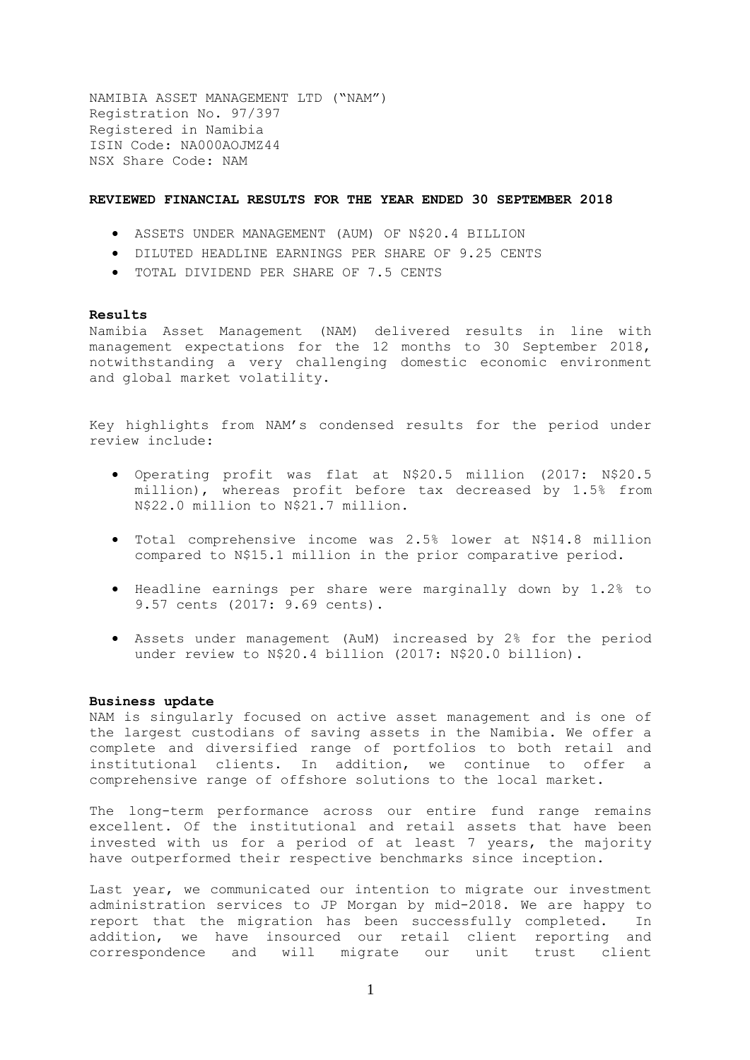NAMIBIA ASSET MANAGEMENT LTD ("NAM") Registration No. 97/397 Registered in Namibia ISIN Code: NA000AOJMZ44 NSX Share Code: NAM

### **REVIEWED FINANCIAL RESULTS FOR THE YEAR ENDED 30 SEPTEMBER 2018**

- ASSETS UNDER MANAGEMENT (AUM) OF N\$20.4 BILLION
- DILUTED HEADLINE EARNINGS PER SHARE OF 9.25 CENTS
- TOTAL DIVIDEND PER SHARE OF 7.5 CENTS

### **Results**

Namibia Asset Management (NAM) delivered results in line with management expectations for the 12 months to 30 September 2018, notwithstanding a very challenging domestic economic environment and global market volatility.

Key highlights from NAM's condensed results for the period under review include:

- Operating profit was flat at N\$20.5 million (2017: N\$20.5 million), whereas profit before tax decreased by 1.5% from N\$22.0 million to N\$21.7 million.
- Total comprehensive income was 2.5% lower at N\$14.8 million compared to N\$15.1 million in the prior comparative period.
- Headline earnings per share were marginally down by 1.2% to 9.57 cents (2017: 9.69 cents).
- Assets under management (AuM) increased by 2% for the period under review to N\$20.4 billion (2017: N\$20.0 billion).

#### **Business update**

NAM is singularly focused on active asset management and is one of the largest custodians of saving assets in the Namibia. We offer a complete and diversified range of portfolios to both retail and institutional clients. In addition, we continue to offer a comprehensive range of offshore solutions to the local market.

The long-term performance across our entire fund range remains excellent. Of the institutional and retail assets that have been invested with us for a period of at least 7 years, the majority have outperformed their respective benchmarks since inception.

Last year, we communicated our intention to migrate our investment administration services to JP Morgan by mid-2018. We are happy to report that the migration has been successfully completed. In addition, we have insourced our retail client reporting and correspondence and will migrate our unit trust client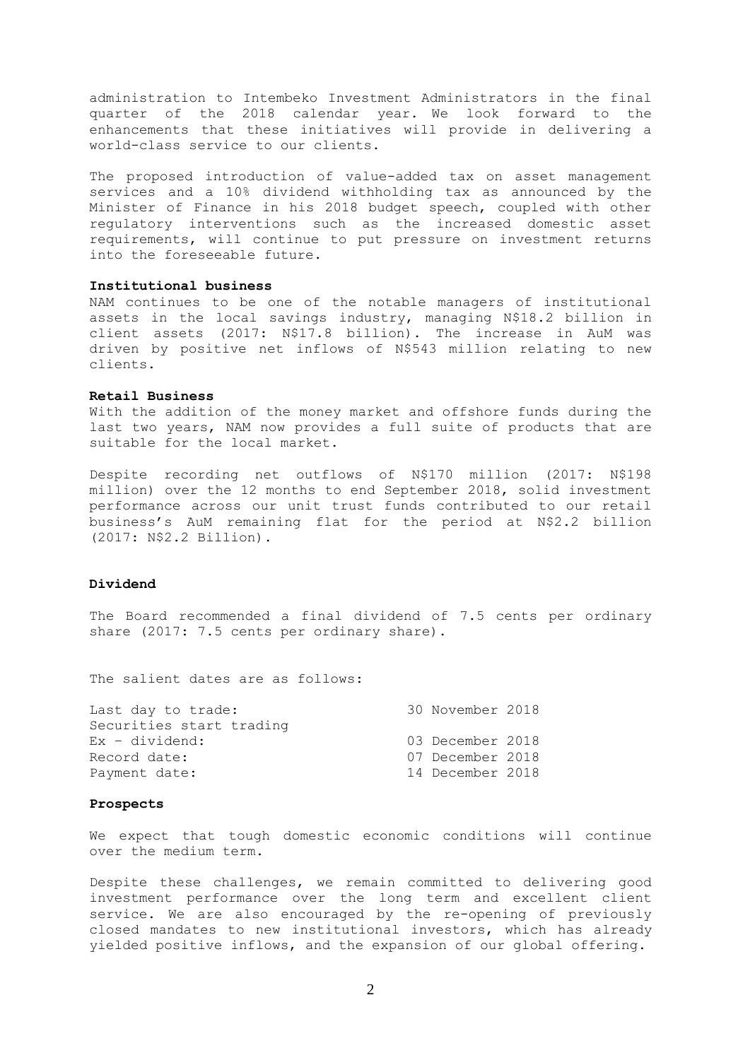administration to Intembeko Investment Administrators in the final quarter of the 2018 calendar year. We look forward to the enhancements that these initiatives will provide in delivering a world-class service to our clients.

The proposed introduction of value-added tax on asset management services and a 10% dividend withholding tax as announced by the Minister of Finance in his 2018 budget speech, coupled with other regulatory interventions such as the increased domestic asset requirements, will continue to put pressure on investment returns into the foreseeable future.

### **Institutional business**

NAM continues to be one of the notable managers of institutional assets in the local savings industry, managing N\$18.2 billion in client assets (2017: N\$17.8 billion). The increase in AuM was driven by positive net inflows of N\$543 million relating to new clients.

### **Retail Business**

With the addition of the money market and offshore funds during the last two years, NAM now provides a full suite of products that are suitable for the local market.

Despite recording net outflows of N\$170 million (2017: N\$198 million) over the 12 months to end September 2018, solid investment performance across our unit trust funds contributed to our retail business's AuM remaining flat for the period at N\$2.2 billion (2017: N\$2.2 Billion).

### **Dividend**

The Board recommended a final dividend of 7.5 cents per ordinary share (2017: 7.5 cents per ordinary share).

The salient dates are as follows:

| 30 November 2018<br>03 December 2018<br>07 December 2018<br>14 December 2018 |
|------------------------------------------------------------------------------|

### **Prospects**

We expect that tough domestic economic conditions will continue over the medium term.

Despite these challenges, we remain committed to delivering good investment performance over the long term and excellent client service. We are also encouraged by the re-opening of previously closed mandates to new institutional investors, which has already yielded positive inflows, and the expansion of our global offering.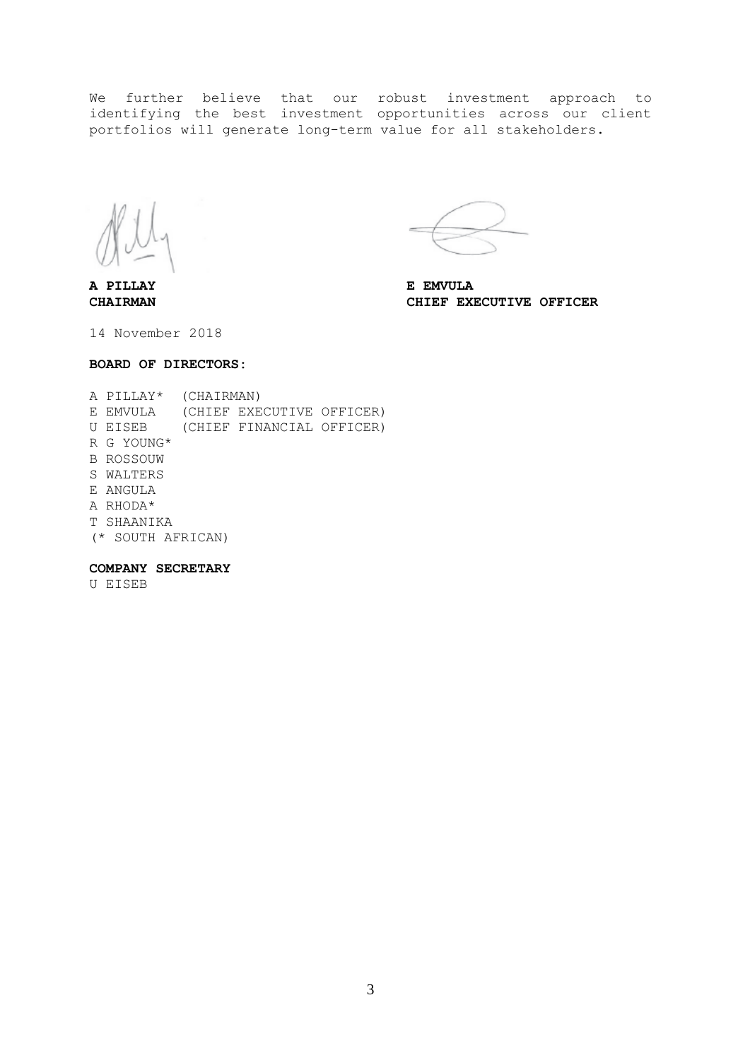We further believe that our robust investment approach to identifying the best investment opportunities across our client portfolios will generate long-term value for all stakeholders.

**A PILLAY E EMVULA**

**CHAIRMAN CHIEF EXECUTIVE OFFICER**

14 November 2018

### **BOARD OF DIRECTORS:**

|    | A PILLAY*         | (CHAIRMAN) |                           |  |
|----|-------------------|------------|---------------------------|--|
|    | E EMVULA          |            | (CHIEF EXECUTIVE OFFICER) |  |
| U  | EISEB             |            | (CHIEF FINANCIAL OFFICER) |  |
|    | R G YOUNG*        |            |                           |  |
| B. | ROSSOUW           |            |                           |  |
|    | S WALTERS         |            |                           |  |
|    | E ANGULA          |            |                           |  |
|    | A RHODA*          |            |                           |  |
| T  | SHAANIKA          |            |                           |  |
|    | (* SOUTH AFRICAN) |            |                           |  |
|    |                   |            |                           |  |

### **COMPANY SECRETARY**

U EISEB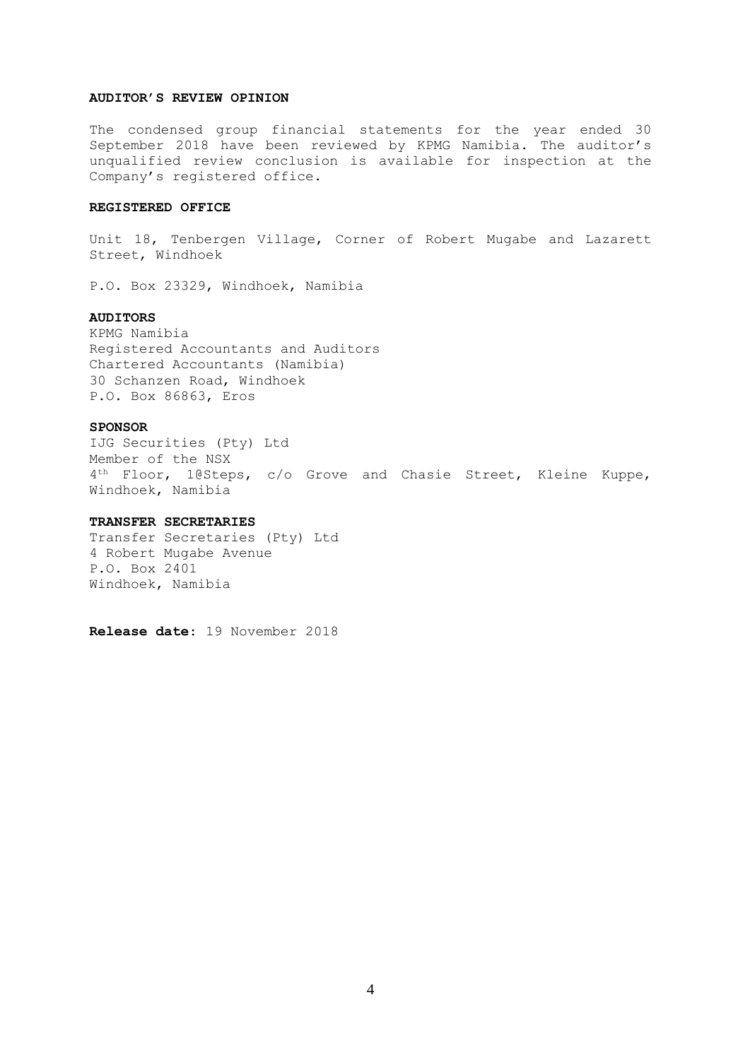### **AUDITOR'S REVIEW OPINION**

The condensed group financial statements for the year ended 30 September 2018 have been reviewed by KPMG Namibia. The auditor's unqualified review conclusion is available for inspection at the Company's registered office.

### **REGISTERED OFFICE**

Unit 18, Tenbergen Village, Corner of Robert Mugabe and Lazarett Street, Windhoek

P.O. Box 23329, Windhoek, Namibia

### **AUDITORS**

KPMG Namibia Registered Accountants and Auditors Chartered Accountants (Namibia) 30 Schanzen Road, Windhoek P.O. Box 86863, Eros

#### **SPONSOR**

IJG Securities (Pty) Ltd Member of the NSX 4<sup>th</sup> Floor, 1@Steps, c/o Grove and Chasie Street, Kleine Kuppe, Windhoek, Namibia

### **TRANSFER SECRETARIES**

Transfer Secretaries (Pty) Ltd 4 Robert Mugabe Avenue P.O. Box 2401 Windhoek, Namibia

**Release date**: 19 November 2018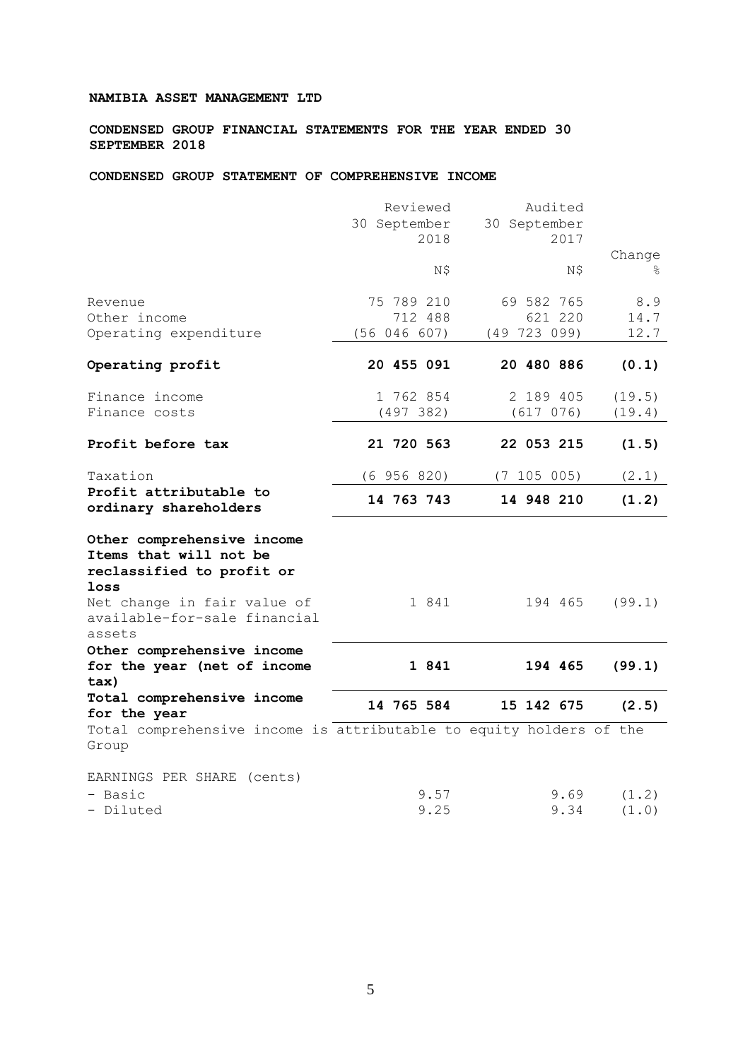### **NAMIBIA ASSET MANAGEMENT LTD**

**CONDENSED GROUP FINANCIAL STATEMENTS FOR THE YEAR ENDED 30 SEPTEMBER 2018**

**CONDENSED GROUP STATEMENT OF COMPREHENSIVE INCOME**

|                                                                                           | Reviewed<br>30 September<br>2018      | Audited<br>30 September<br>2017     |                     |
|-------------------------------------------------------------------------------------------|---------------------------------------|-------------------------------------|---------------------|
|                                                                                           | N\$                                   | N\$                                 | Change<br>୫         |
| Revenue<br>Other income<br>Operating expenditure                                          | 75 789 210<br>712 488<br>(56 046 607) | 69 582 765<br>621 220<br>(49723099) | 8.9<br>14.7<br>12.7 |
| Operating profit                                                                          | 20 455 091                            | 20 480 886                          | (0.1)               |
| Finance income<br>Finance costs                                                           | 1 762 854<br>(497 382)                | 2 189 405<br>(617 076)              | (19.5)<br>(19.4)    |
| Profit before tax                                                                         | 21 720 563                            | 22 053 215                          | (1.5)               |
| Taxation                                                                                  | $(6\ 956\ 820)$                       | (7 105 005)                         | (2.1)               |
| Profit attributable to<br>ordinary shareholders                                           | 14 763 743                            | 14 948 210                          | (1.2)               |
| Other comprehensive income<br>Items that will not be<br>reclassified to profit or<br>loss |                                       |                                     |                     |
| Net change in fair value of<br>available-for-sale financial<br>assets                     | 1 841                                 | 194 465                             | (99.1)              |
| Other comprehensive income<br>for the year (net of income<br>tax)                         | 1 841                                 | 194 465                             | (99.1)              |
| Total comprehensive income<br>for the year                                                | 14 765 584                            | 15 142 675                          | (2.5)               |
| Total comprehensive income is attributable to equity holders of the<br>Group              |                                       |                                     |                     |
| EARNINGS PER SHARE (cents)                                                                |                                       |                                     |                     |
| - Basic<br>- Diluted                                                                      | 9.57<br>9.25                          | 9.69<br>9.34                        | (1.2)<br>(1.0)      |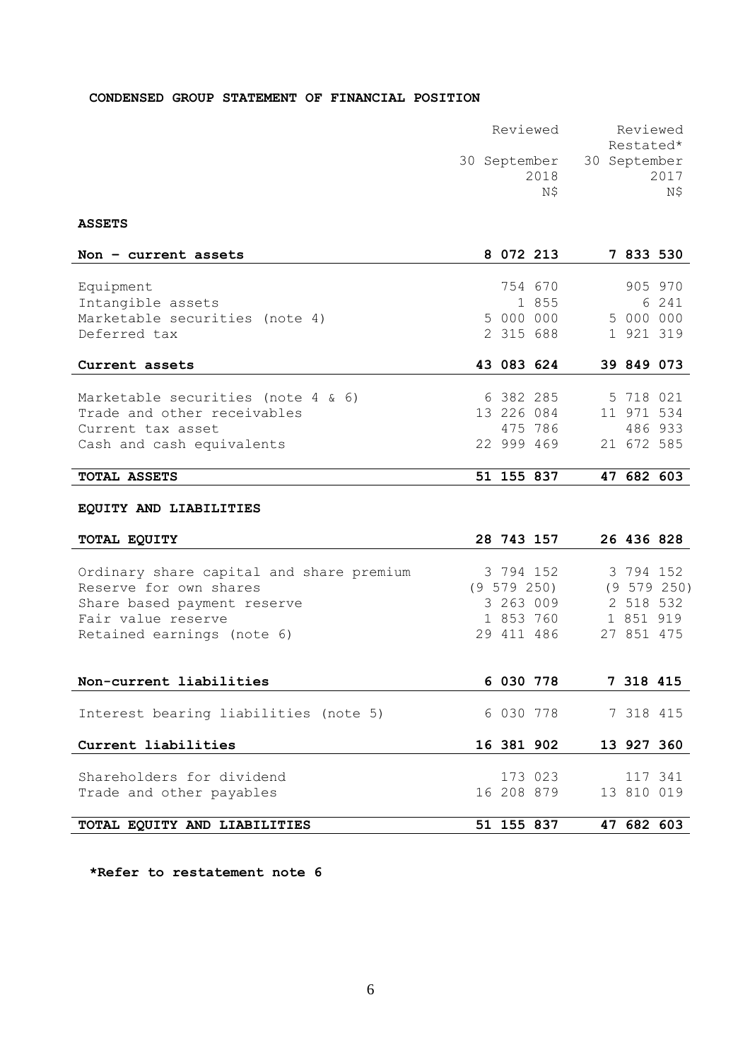# **CONDENSED GROUP STATEMENT OF FINANCIAL POSITION**

| Reviewed     | Reviewed     |
|--------------|--------------|
|              | Restated*    |
| 30 September | 30 September |
| 2018         | 2017         |
| ΝŜ           | N\$          |

# **ASSETS**

| Non $-$ current assets                     | 8 072 213  |         | 7 833 530  |         |
|--------------------------------------------|------------|---------|------------|---------|
|                                            |            |         |            |         |
| Equipment                                  |            | 754 670 |            | 905 970 |
| Intangible assets                          |            | 1 855   |            | 6 241   |
| Marketable securities (note 4)             | 5 000 000  |         | 5 000 000  |         |
| Deferred tax                               | 2 315 688  |         | 1 921 319  |         |
|                                            |            |         |            |         |
| Current assets                             | 43 083 624 |         | 39 849 073 |         |
|                                            |            |         |            |         |
| Marketable securities (note $4 \times 6$ ) | 6 382 285  |         | 5 718 021  |         |
| Trade and other receivables                | 13 226 084 |         | 11 971 534 |         |
| Current tax asset                          |            | 475 786 |            | 486 933 |
| Cash and cash equivalents                  | 22 999 469 |         | 21 672 585 |         |
|                                            |            |         |            |         |
| <b>TOTAL ASSETS</b>                        | 51 155 837 |         | 47 682 603 |         |

# **EQUITY AND LIABILITIES**

| TOTAL EQUITY                             | 28 743 157  | 26 436 828 |                 |
|------------------------------------------|-------------|------------|-----------------|
|                                          |             |            |                 |
| Ordinary share capital and share premium | 3 794 152   | 3 794 152  |                 |
| Reserve for own shares                   | (9 579 250) |            | $(9\;579\;250)$ |
| Share based payment reserve              | 3 263 009   | 2 518 532  |                 |
| Fair value reserve                       | 1 853 760   | 1 851 919  |                 |
| Retained earnings (note 6)               | 29 411 486  | 27 851 475 |                 |
|                                          |             |            |                 |
|                                          |             |            |                 |
| Non-current liabilities                  | 6 030 778   | 7 318 415  |                 |
|                                          |             |            |                 |
| Interest bearing liabilities (note 5)    | 6 030 778   | 7 318 415  |                 |
|                                          |             |            |                 |
| Current liabilities                      | 16 381 902  | 13 927 360 |                 |
|                                          |             |            |                 |
| Shareholders for dividend                | 173 023     | 117 341    |                 |
| Trade and other payables                 | 16 208 879  | 13 810 019 |                 |
|                                          |             |            |                 |
| TOTAL EQUITY AND LIABILITIES             | 51 155 837  | 47 682 603 |                 |

**\*Refer to restatement note 6**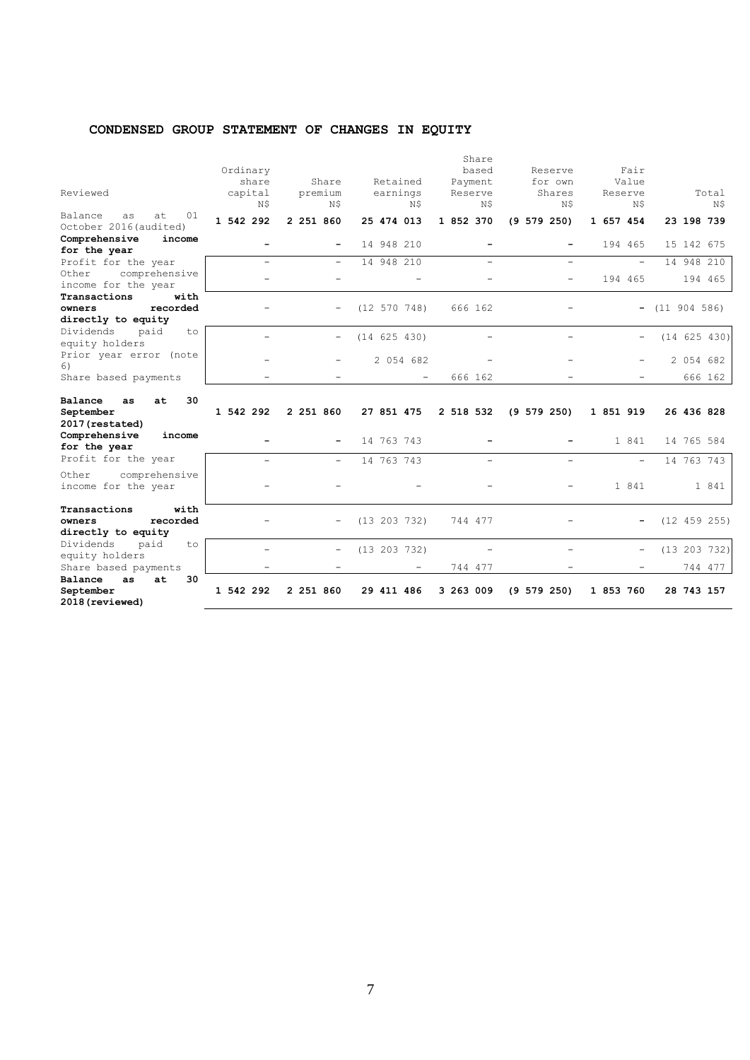# **CONDENSED GROUP STATEMENT OF CHANGES IN EQUITY**

| Reviewed                                                  | Ordinary<br>share<br>capital<br>N\$ | Share<br>premium<br>N\$  | Retained<br>earnings<br>N\$ | Share<br>based<br>Payment<br>Reserve<br>N\$ | Reserve<br>for own<br>Shares<br>N\$ | Fair<br>Value<br>Reserve<br>N\$ | Total<br>N\$ |
|-----------------------------------------------------------|-------------------------------------|--------------------------|-----------------------------|---------------------------------------------|-------------------------------------|---------------------------------|--------------|
| 01<br>Balance<br>at<br>as<br>October 2016 (audited)       | 1 542 292                           | 2 251 860                | 25 474 013                  | 1 852 370                                   | $(9\ 579\ 250)$                     | 1 657 454                       | 23 198 739   |
| Comprehensive<br>income                                   | $\overline{\phantom{0}}$            |                          | 14 948 210                  |                                             |                                     | 194 465                         | 15 142 675   |
| for the year                                              |                                     |                          |                             |                                             |                                     |                                 |              |
| Profit for the year                                       | $\overline{\phantom{a}}$            | $\overline{\phantom{0}}$ | 14 948 210                  | $\equiv$                                    | $=$                                 | $\overline{\phantom{0}}$        | 14 948 210   |
| comprehensive<br>Other<br>income for the year             |                                     |                          |                             |                                             |                                     | 194 465                         | 194 465      |
| Transactions<br>with                                      |                                     |                          |                             |                                             |                                     |                                 |              |
| recorded<br>owners<br>directly to equity                  |                                     |                          | (12 570 748)                | 666 162                                     |                                     | -                               | (11 904 586) |
| Dividends<br>paid<br>to<br>equity holders                 |                                     |                          | (14 625 430)                |                                             |                                     |                                 | (14 625 430) |
| Prior year error (note<br>6)                              |                                     |                          | 2 054 682                   |                                             |                                     |                                 | 2 054 682    |
| Share based payments                                      |                                     |                          |                             | 666 162                                     |                                     |                                 | 666 162      |
| 30<br>Balance<br>at<br>as<br>September<br>2017 (restated) | 1 542 292                           | 2 251 860                | 27 851 475                  | 2 518 532                                   | $(9\ 579\ 250)$                     | 1 851 919                       | 26 436 828   |
| Comprehensive<br>income<br>for the year                   |                                     |                          | 14 763 743                  |                                             |                                     | 1 841                           | 14 765 584   |
| Profit for the year                                       |                                     | Ξ.                       | 14 763 743                  |                                             |                                     | $\overline{\phantom{0}}$        | 14 763 743   |
| Other<br>comprehensive<br>income for the year             |                                     |                          |                             |                                             |                                     | 1 841                           | 1 841        |
| with<br>Transactions                                      |                                     |                          |                             |                                             |                                     |                                 |              |
| recorded<br>owners                                        |                                     |                          | (13 203 732)                | 744 477                                     |                                     |                                 | (12 459 255) |
| directly to equity                                        |                                     |                          |                             |                                             |                                     |                                 |              |
| Dividends<br>paid<br>to<br>equity holders                 |                                     | $\qquad \qquad -$        | (13 203 732)                |                                             |                                     | -                               | (13 203 732) |
| Share based payments                                      |                                     |                          |                             | 744 477                                     |                                     |                                 | 744 477      |
| Balance<br>at<br>30<br>as<br>September<br>2018 (reviewed) | 1 542 292                           | 2 251 860                | 29 411 486                  | 3 263 009                                   | $(9\ 579\ 250)$                     | 1 853 760                       | 28 743 157   |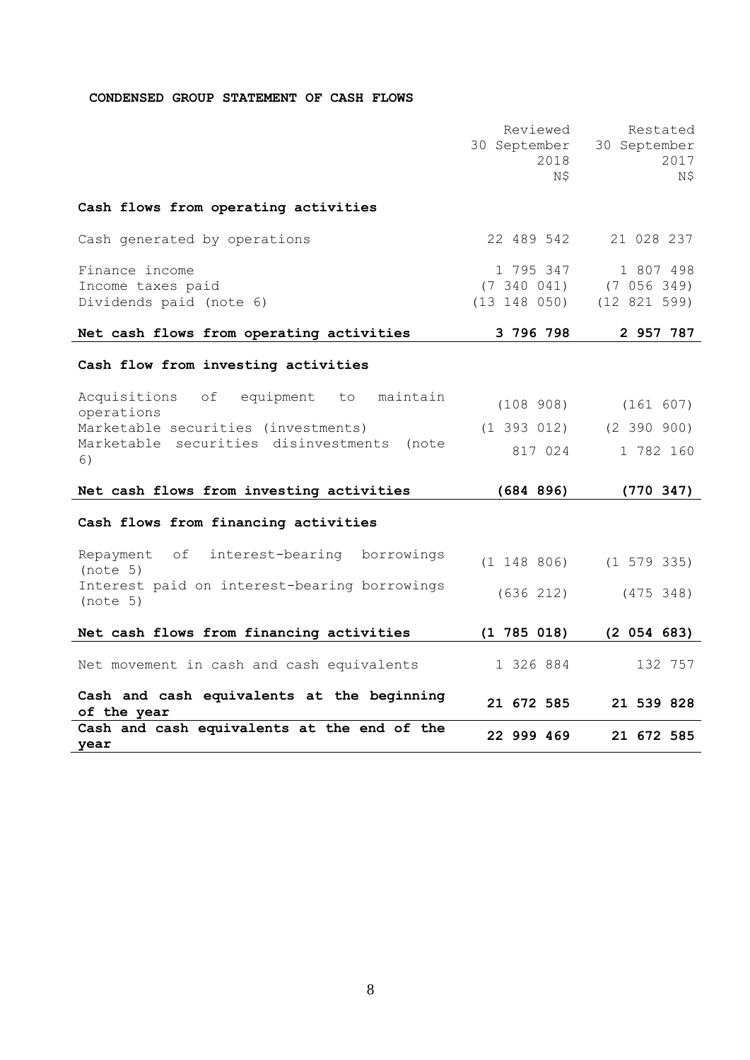# **CONDENSED GROUP STATEMENT OF CASH FLOWS**

|                                                                                                                                                            | Reviewed<br>30 September<br>2018<br>N\$    | Restated<br>30 September<br>2017<br>Ν\$   |
|------------------------------------------------------------------------------------------------------------------------------------------------------------|--------------------------------------------|-------------------------------------------|
| Cash flows from operating activities                                                                                                                       |                                            |                                           |
| Cash generated by operations                                                                                                                               | 22 489 542                                 | 21 028 237                                |
| Finance income<br>Income taxes paid<br>Dividends paid (note 6)                                                                                             | 1 795 347<br>(7, 340, 041)<br>(13 148 050) | 1 807 498<br>(7 056 349)<br>(12 821 599)  |
| Net cash flows from operating activities                                                                                                                   | 3 796 798                                  | 2 957 787                                 |
| Cash flow from investing activities                                                                                                                        |                                            |                                           |
| Acquisitions<br>equipment to<br>maintain<br>of<br>operations<br>Marketable securities (investments)<br>Marketable securities disinvestments<br>(note<br>6) | (108908)<br>$(1\;393\;012)$<br>817 024     | (161 607)<br>$(2\;390\;900)$<br>1 782 160 |
| Net cash flows from investing activities                                                                                                                   | (684 896)                                  | (770.347)                                 |
| Cash flows from financing activities                                                                                                                       |                                            |                                           |
| Repayment<br>of<br>interest-bearing<br>borrowings<br>(note 5)                                                                                              | $(1\ 148\ 806)$                            | $(1\ 579\ 335)$                           |
| Interest paid on interest-bearing borrowings<br>(note 5)                                                                                                   | (636 212)                                  | (475 348)                                 |
| Net cash flows from financing activities                                                                                                                   | $(1\ 785\ 018)$                            | (2 054 683)                               |
| Net movement in cash and cash equivalents                                                                                                                  | 1 326 884                                  | 132 757                                   |
| Cash and cash equivalents at the beginning<br>of the year                                                                                                  | 21 672 585                                 | 21 539 828                                |
| Cash and cash equivalents at the end of the<br>year                                                                                                        | 22 999 469                                 | 21 672 585                                |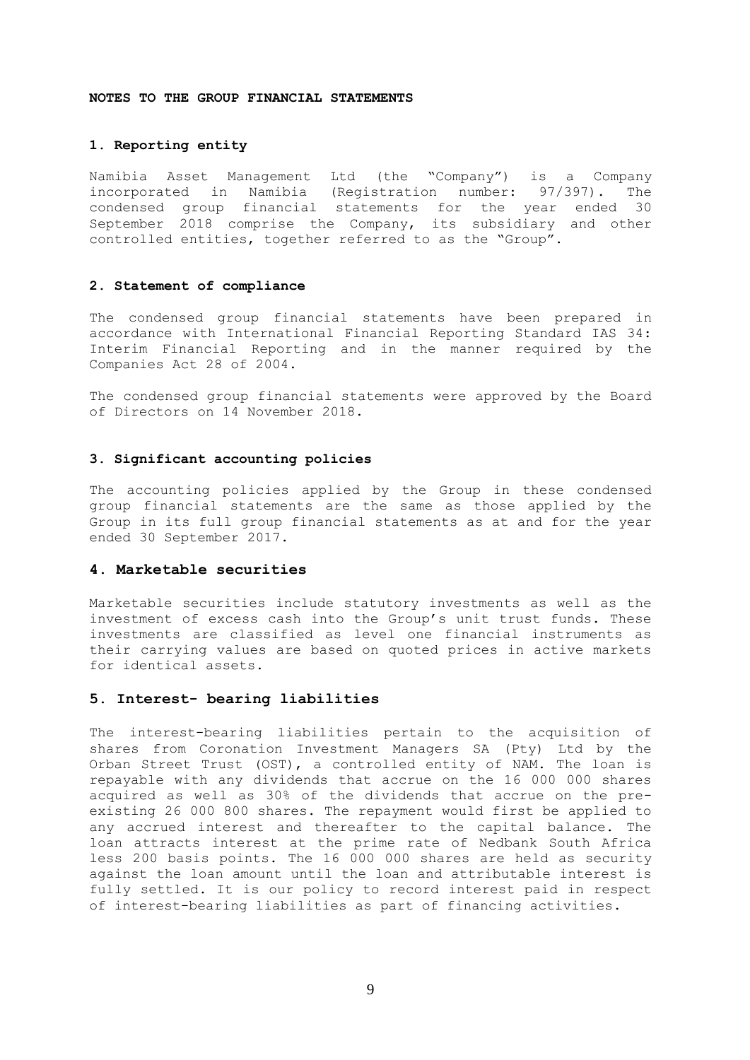#### **NOTES TO THE GROUP FINANCIAL STATEMENTS**

### **1. Reporting entity**

Namibia Asset Management Ltd (the "Company") is a Company incorporated in Namibia (Registration number: 97/397). The condensed group financial statements for the year ended 30 September 2018 comprise the Company, its subsidiary and other controlled entities, together referred to as the "Group".

### **2. Statement of compliance**

The condensed group financial statements have been prepared in accordance with International Financial Reporting Standard IAS 34: Interim Financial Reporting and in the manner required by the Companies Act 28 of 2004.

The condensed group financial statements were approved by the Board of Directors on 14 November 2018.

#### **3. Significant accounting policies**

The accounting policies applied by the Group in these condensed group financial statements are the same as those applied by the Group in its full group financial statements as at and for the year ended 30 September 2017.

### **4. Marketable securities**

Marketable securities include statutory investments as well as the investment of excess cash into the Group's unit trust funds. These investments are classified as level one financial instruments as their carrying values are based on quoted prices in active markets for identical assets.

### **5. Interest- bearing liabilities**

The interest-bearing liabilities pertain to the acquisition of shares from Coronation Investment Managers SA (Pty) Ltd by the Orban Street Trust (OST), a controlled entity of NAM. The loan is repayable with any dividends that accrue on the 16 000 000 shares acquired as well as 30% of the dividends that accrue on the preexisting 26 000 800 shares. The repayment would first be applied to any accrued interest and thereafter to the capital balance. The loan attracts interest at the prime rate of Nedbank South Africa less 200 basis points. The 16 000 000 shares are held as security against the loan amount until the loan and attributable interest is fully settled. It is our policy to record interest paid in respect of interest-bearing liabilities as part of financing activities.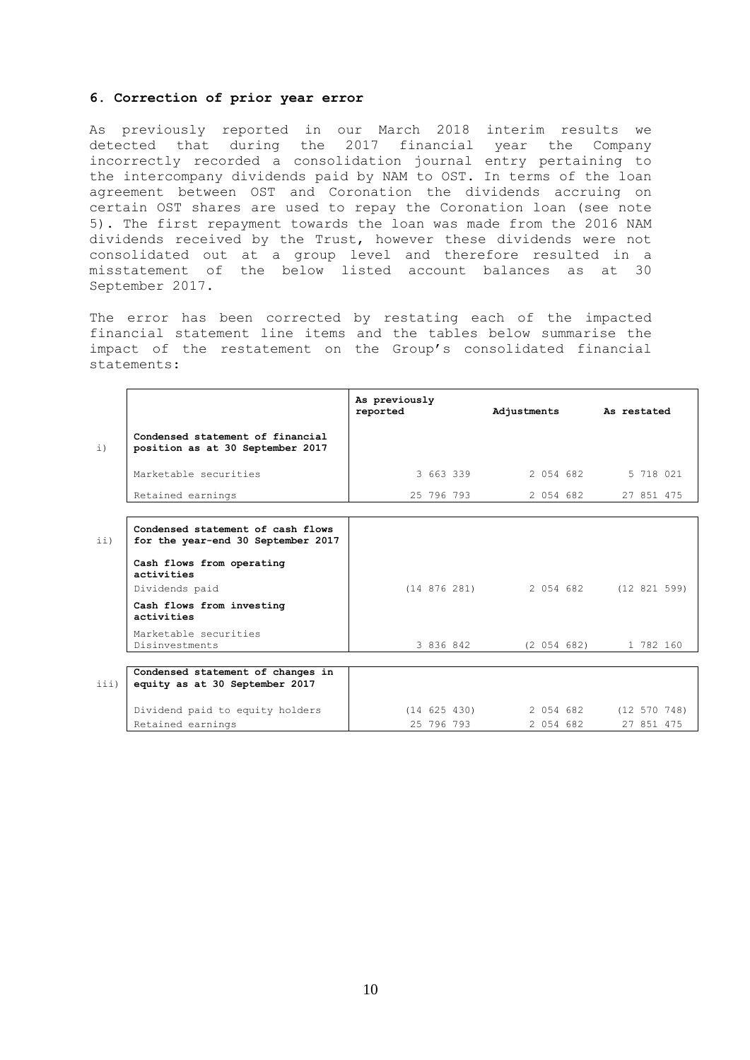#### **6. Correction of prior year error**

As previously reported in our March 2018 interim results we detected that during the 2017 financial year the Company incorrectly recorded a consolidation journal entry pertaining to the intercompany dividends paid by NAM to OST. In terms of the loan agreement between OST and Coronation the dividends accruing on certain OST shares are used to repay the Coronation loan (see note 5). The first repayment towards the loan was made from the 2016 NAM dividends received by the Trust, however these dividends were not consolidated out at a group level and therefore resulted in a misstatement of the below listed account balances as at 30 September 2017.

The error has been corrected by restating each of the impacted financial statement line items and the tables below summarise the impact of the restatement on the Group's consolidated financial statements:

|             |                                                                         | As previously<br>reported |                  | Adjustments As restated |             |                        |              |  |
|-------------|-------------------------------------------------------------------------|---------------------------|------------------|-------------------------|-------------|------------------------|--------------|--|
| $\pm$ )     | Condensed statement of financial<br>position as at 30 September 2017    |                           |                  |                         |             |                        |              |  |
|             | Marketable securities                                                   |                           | 3 663 339        |                         | 2 054 682   |                        | 5 718 021    |  |
|             | Retained earnings                                                       |                           | 25 796 793       |                         | 2 054 682   |                        | 27 851 475   |  |
|             |                                                                         |                           |                  |                         |             |                        |              |  |
| $\pm \pm$ ) | Condensed statement of cash flows<br>for the year-end 30 September 2017 |                           |                  |                         |             |                        |              |  |
|             | Cash flows from operating<br>activities                                 |                           |                  |                         |             |                        |              |  |
|             | Dividends paid                                                          |                           | $(14\;876\;281)$ |                         |             | 2 054 682 (12 821 599) |              |  |
|             | Cash flows from investing<br>activities                                 |                           |                  |                         |             |                        |              |  |
|             | Marketable securities<br>Disinvestments                                 |                           | 3 836 842        |                         | (2 054 682) |                        | 1 782 160    |  |
|             |                                                                         |                           |                  |                         |             |                        |              |  |
| iii)        | Condensed statement of changes in<br>equity as at 30 September 2017     |                           |                  |                         |             |                        |              |  |
|             | Dividend paid to equity holders                                         |                           | $(14\ 625\ 430)$ |                         | 2 054 682   |                        | (12 570 748) |  |
|             | Retained earnings                                                       |                           | 25 796 793       |                         | 2 054 682   |                        | 27 851 475   |  |